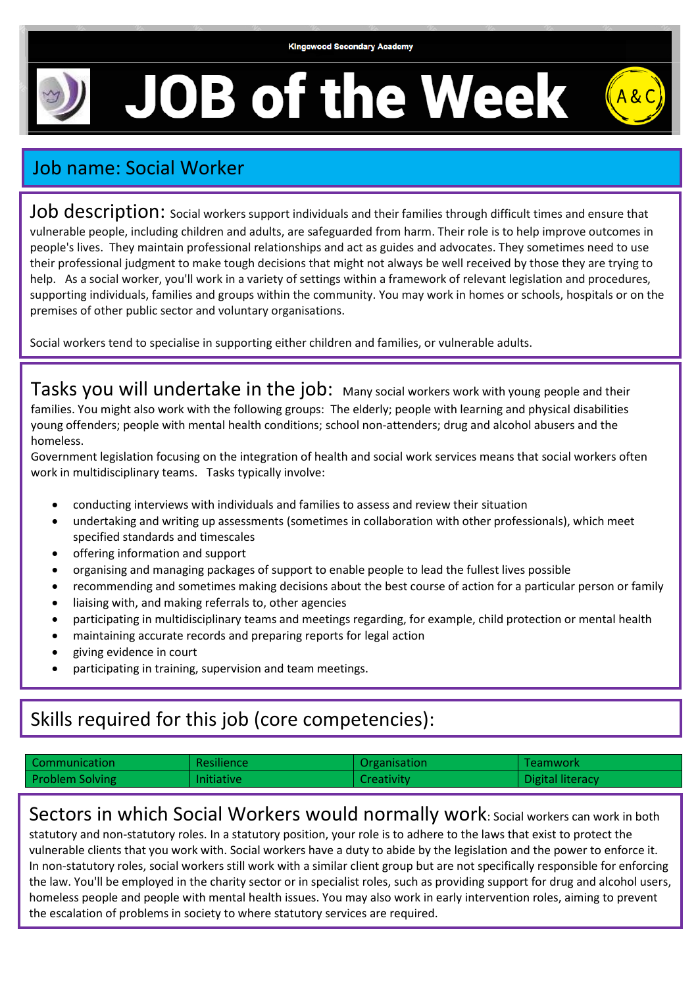## **JOB of the Week**



## Job name: Social Worker

Job description: social workers support individuals and their families through difficult times and ensure that vulnerable people, including children and adults, are safeguarded from harm. Their role is to help improve outcomes in people's lives. They maintain professional relationships and act as guides and advocates. They sometimes need to use their professional judgment to make tough decisions that might not always be well received by those they are trying to help. As a social worker, you'll work in a variety of settings within a framework of relevant legislation and procedures, supporting individuals, families and groups within the community. You may work in homes or schools, hospitals or on the premises of other public sector and voluntary organisations.

Social workers tend to specialise in supporting either children and families, or vulnerable adults.

Tasks you will undertake in the job: Many social workers work with young people and their families. You might also work with the following groups: The elderly; people with learning and physical disabilities young offenders; people with mental health conditions; school non-attenders; drug and alcohol abusers and the homeless.

Government legislation focusing on the integration of health and social work services means that social workers often work in multidisciplinary teams. Tasks typically involve:

- conducting interviews with individuals and families to assess and review their situation
- undertaking and writing up assessments (sometimes in collaboration with other professionals), which meet specified standards and timescales
- offering information and support
- organising and managing packages of support to enable people to lead the fullest lives possible
- recommending and sometimes making decisions about the best course of action for a particular person or family
- liaising with, and making referrals to, other agencies
- participating in multidisciplinary teams and meetings regarding, for example, child protection or mental health
- maintaining accurate records and preparing reports for legal action
- giving evidence in court
- participating in training, supervision and team meetings.

## Skills required for this job (core competencies):

| Communication          | Resilience        | Organisation      | l Teamwork       |
|------------------------|-------------------|-------------------|------------------|
| <b>Problem Solving</b> | <b>Initiative</b> | <b>Creativity</b> | Digital literacy |

Sectors in which Social Workers would normally work: Social workers can work in both statutory and non-statutory roles. In a statutory position, your role is to adhere to the laws that exist to protect the vulnerable clients that you work with. Social workers have a duty to abide by the legislation and the power to enforce it. In non-statutory roles, social workers still work with a similar client group but are not specifically responsible for enforcing the law. You'll be employed in the charity sector or in specialist roles, such as providing support for drug and alcohol users,

homeless people and people with mental health issues. You may also work in early intervention roles, aiming to prevent the escalation of problems in society to where statutory services are required.